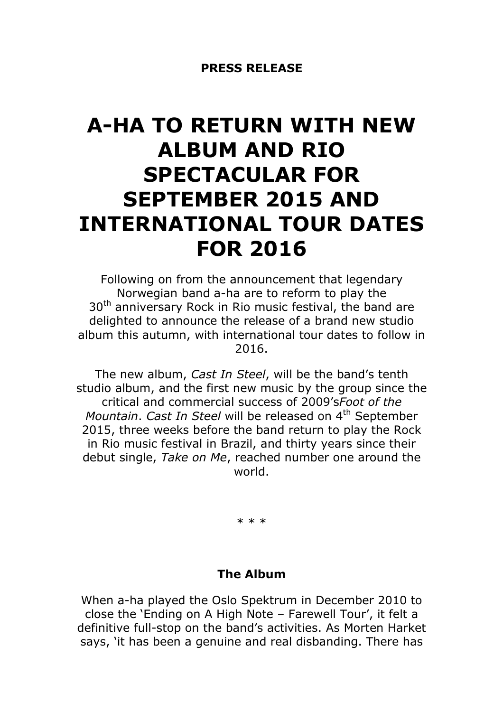# A-HA TO RETURN WITH NEW ALBUM AND RIO SPECTACULAR FOR SEPTEMBER 2015 AND INTERNATIONAL TOUR DATES FOR 2016

Following on from the announcement that legendary Norwegian band a-ha are to reform to play the 30<sup>th</sup> anniversary Rock in Rio music festival, the band are delighted to announce the release of a brand new studio album this autumn, with international tour dates to follow in 2016.

The new album, Cast In Steel, will be the band's tenth studio album, and the first new music by the group since the critical and commercial success of 2009'sFoot of the Mountain. Cast In Steel will be released on 4<sup>th</sup> September 2015, three weeks before the band return to play the Rock in Rio music festival in Brazil, and thirty years since their debut single, Take on Me, reached number one around the world.

\* \* \*

## The Album

When a-ha played the Oslo Spektrum in December 2010 to close the 'Ending on A High Note – Farewell Tour', it felt a definitive full-stop on the band's activities. As Morten Harket says, 'it has been a genuine and real disbanding. There has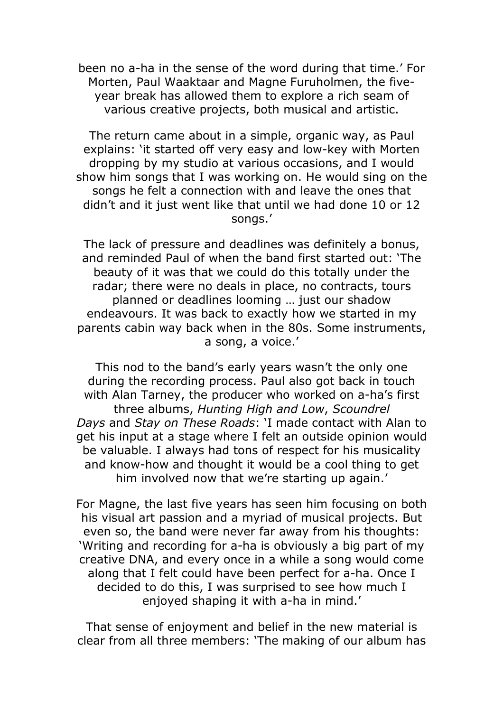been no a-ha in the sense of the word during that time.' For Morten, Paul Waaktaar and Magne Furuholmen, the fiveyear break has allowed them to explore a rich seam of various creative projects, both musical and artistic.

The return came about in a simple, organic way, as Paul explains: 'it started off very easy and low-key with Morten dropping by my studio at various occasions, and I would show him songs that I was working on. He would sing on the songs he felt a connection with and leave the ones that didn't and it just went like that until we had done 10 or 12 songs.'

The lack of pressure and deadlines was definitely a bonus, and reminded Paul of when the band first started out: 'The beauty of it was that we could do this totally under the radar; there were no deals in place, no contracts, tours planned or deadlines looming … just our shadow endeavours. It was back to exactly how we started in my parents cabin way back when in the 80s. Some instruments, a song, a voice.'

This nod to the band's early years wasn't the only one during the recording process. Paul also got back in touch with Alan Tarney, the producer who worked on a-ha's first three albums, Hunting High and Low, Scoundrel Days and Stay on These Roads: 'I made contact with Alan to get his input at a stage where I felt an outside opinion would be valuable. I always had tons of respect for his musicality and know-how and thought it would be a cool thing to get him involved now that we're starting up again.'

For Magne, the last five years has seen him focusing on both his visual art passion and a myriad of musical projects. But even so, the band were never far away from his thoughts: 'Writing and recording for a-ha is obviously a big part of my creative DNA, and every once in a while a song would come along that I felt could have been perfect for a-ha. Once I decided to do this, I was surprised to see how much I enjoyed shaping it with a-ha in mind.'

That sense of enjoyment and belief in the new material is clear from all three members: 'The making of our album has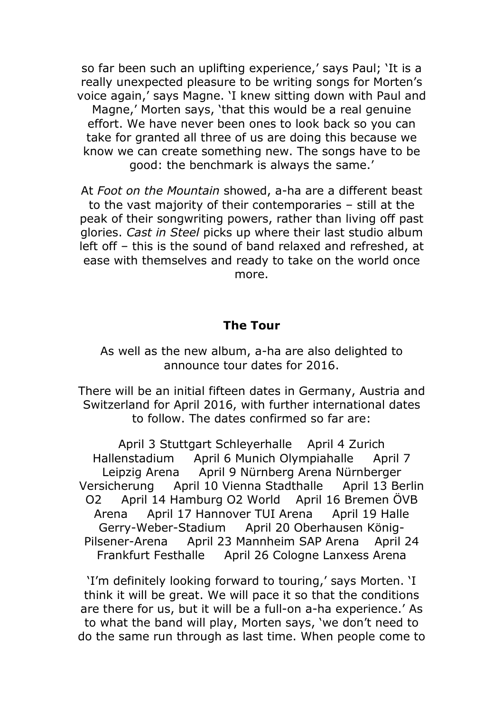so far been such an uplifting experience,' says Paul; 'It is a really unexpected pleasure to be writing songs for Morten's voice again,' says Magne. 'I knew sitting down with Paul and Magne,' Morten says, 'that this would be a real genuine effort. We have never been ones to look back so you can take for granted all three of us are doing this because we know we can create something new. The songs have to be good: the benchmark is always the same.'

At Foot on the Mountain showed, a-ha are a different beast to the vast majority of their contemporaries – still at the peak of their songwriting powers, rather than living off past glories. Cast in Steel picks up where their last studio album left off – this is the sound of band relaxed and refreshed, at ease with themselves and ready to take on the world once more.

#### The Tour

As well as the new album, a-ha are also delighted to announce tour dates for 2016.

There will be an initial fifteen dates in Germany, Austria and Switzerland for April 2016, with further international dates to follow. The dates confirmed so far are:

April 3 Stuttgart Schleyerhalle April 4 Zurich Hallenstadium April 6 Munich Olympiahalle April 7 Leipzig Arena April 9 Nürnberg Arena Nürnberger Versicherung April 10 Vienna Stadthalle April 13 Berlin O2 April 14 Hamburg O2 World April 16 Bremen ÖVB Arena April 17 Hannover TUI Arena April 19 Halle Gerry-Weber-Stadium April 20 Oberhausen König-Pilsener-Arena April 23 Mannheim SAP Arena April 24 Frankfurt Festhalle April 26 Cologne Lanxess Arena

'I'm definitely looking forward to touring,' says Morten. 'I think it will be great. We will pace it so that the conditions are there for us, but it will be a full-on a-ha experience.' As to what the band will play, Morten says, 'we don't need to do the same run through as last time. When people come to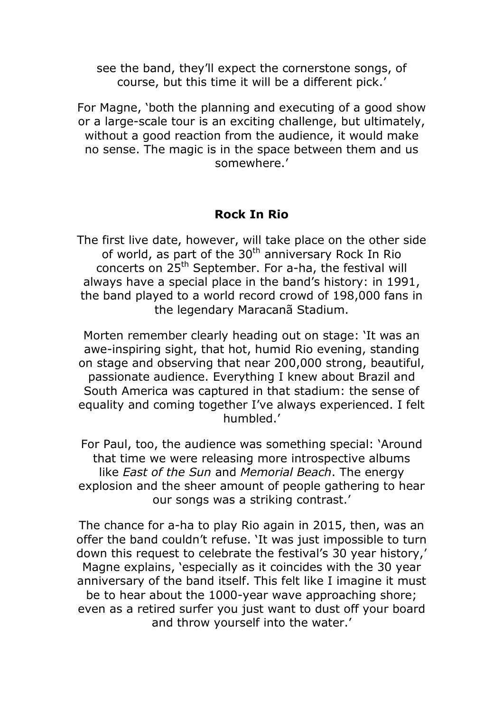see the band, they'll expect the cornerstone songs, of course, but this time it will be a different pick.'

For Magne, 'both the planning and executing of a good show or a large-scale tour is an exciting challenge, but ultimately, without a good reaction from the audience, it would make no sense. The magic is in the space between them and us somewhere.'

## Rock In Rio

The first live date, however, will take place on the other side of world, as part of the  $30<sup>th</sup>$  anniversary Rock In Rio concerts on 25th September. For a-ha, the festival will always have a special place in the band's history: in 1991, the band played to a world record crowd of 198,000 fans in the legendary Maracanã Stadium.

Morten remember clearly heading out on stage: 'It was an awe-inspiring sight, that hot, humid Rio evening, standing on stage and observing that near 200,000 strong, beautiful, passionate audience. Everything I knew about Brazil and South America was captured in that stadium: the sense of equality and coming together I've always experienced. I felt humbled.'

For Paul, too, the audience was something special: 'Around that time we were releasing more introspective albums like *East of the Sun* and *Memorial Beach*. The energy explosion and the sheer amount of people gathering to hear our songs was a striking contrast.'

The chance for a-ha to play Rio again in 2015, then, was an offer the band couldn't refuse. 'It was just impossible to turn down this request to celebrate the festival's 30 year history,' Magne explains, 'especially as it coincides with the 30 year anniversary of the band itself. This felt like I imagine it must be to hear about the 1000-year wave approaching shore; even as a retired surfer you just want to dust off your board and throw yourself into the water.'